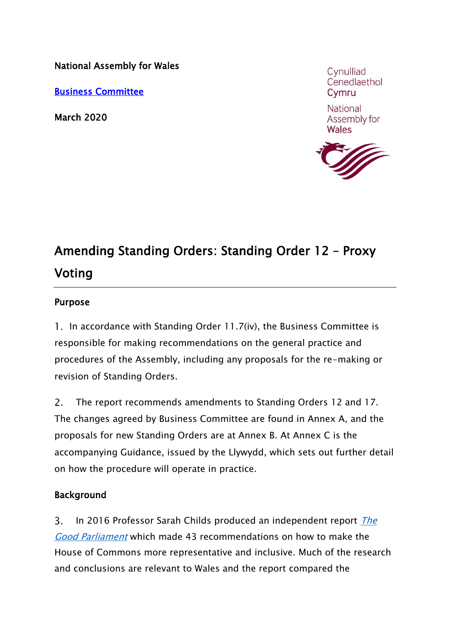National Assembly for Wales

[Business Committee](http://www.senedd.assemblywales.org/mgCommitteeDetails.aspx?ID=144)

March 2020

Cvnulliad Cenedlaethol Cymru

National Assembly for Wales



# Amending Standing Orders: Standing Order 12 – Proxy Voting

## Purpose

1. In accordance with Standing Order 11.7(iv), the Business Committee is responsible for making recommendations on the general practice and procedures of the Assembly, including any proposals for the re-making or revision of Standing Orders.

 $2<sub>1</sub>$ The report recommends amendments to Standing Orders 12 and 17. The changes agreed by Business Committee are found in Annex A, and the proposals for new Standing Orders are at Annex B. At Annex C is the accompanying Guidance, issued by the Llywydd, which sets out further detail on how the procedure will operate in practice.

## Background

 $\mathsf{R}$ In 2016 Professor Sarah Childs produced an independent report The [Good Parliament](https://www.parliament.uk/documents/commons-committees/reference-group-representation-inclusion/good-parliament-report-july-2016.pdf) which made 43 recommendations on how to make the House of Commons more representative and inclusive. Much of the research and conclusions are relevant to Wales and the report compared the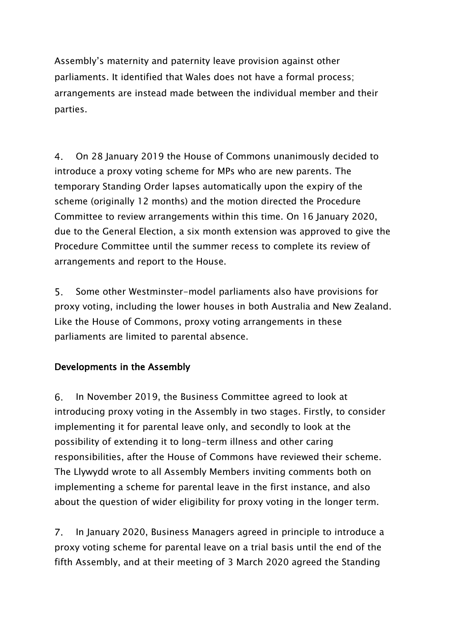Assembly's maternity and paternity leave provision against other parliaments. It identified that Wales does not have a formal process; arrangements are instead made between the individual member and their parties.

 $4<sub>1</sub>$ On 28 January 2019 the House of Commons unanimously decided to introduce a proxy voting scheme for MPs who are new parents. The temporary Standing Order lapses automatically upon the expiry of the scheme (originally 12 months) and the motion directed the Procedure Committee to review arrangements within this time. On 16 January 2020, due to the General Election, a six month extension was approved to give the Procedure Committee until the summer recess to complete its review of arrangements and report to the House.

 $5<sub>1</sub>$ Some other Westminster-model parliaments also have provisions for proxy voting, including the lower houses in both Australia and New Zealand. Like the House of Commons, proxy voting arrangements in these parliaments are limited to parental absence.

## Developments in the Assembly

 $6.$ In November 2019, the Business Committee agreed to look at introducing proxy voting in the Assembly in two stages. Firstly, to consider implementing it for parental leave only, and secondly to look at the possibility of extending it to long-term illness and other caring responsibilities, after the House of Commons have reviewed their scheme. The Llywydd wrote to all Assembly Members inviting comments both on implementing a scheme for parental leave in the first instance, and also about the question of wider eligibility for proxy voting in the longer term.

 $7<sub>1</sub>$ In January 2020, Business Managers agreed in principle to introduce a proxy voting scheme for parental leave on a trial basis until the end of the fifth Assembly, and at their meeting of 3 March 2020 agreed the Standing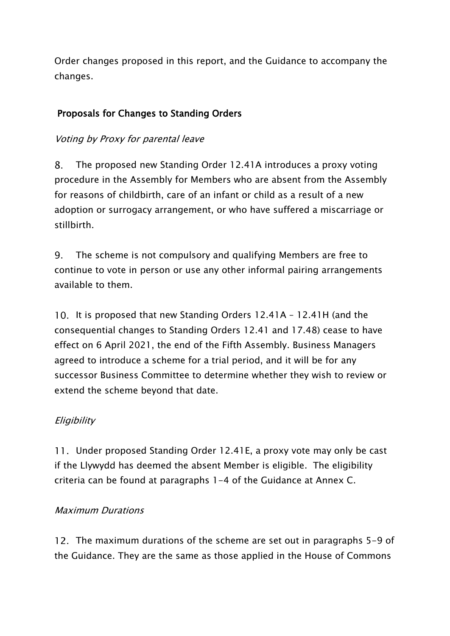Order changes proposed in this report, and the Guidance to accompany the changes.

# Proposals for Changes to Standing Orders

## Voting by Proxy for parental leave

8. The proposed new Standing Order 12.41A introduces a proxy voting procedure in the Assembly for Members who are absent from the Assembly for reasons of childbirth, care of an infant or child as a result of a new adoption or surrogacy arrangement, or who have suffered a miscarriage or stillbirth.

 $9<sub>1</sub>$ The scheme is not compulsory and qualifying Members are free to continue to vote in person or use any other informal pairing arrangements available to them.

10. It is proposed that new Standing Orders 12.41A - 12.41H (and the consequential changes to Standing Orders 12.41 and 17.48) cease to have effect on 6 April 2021, the end of the Fifth Assembly. Business Managers agreed to introduce a scheme for a trial period, and it will be for any successor Business Committee to determine whether they wish to review or extend the scheme beyond that date.

## **Eligibility**

Under proposed Standing Order 12.41E, a proxy vote may only be cast if the Llywydd has deemed the absent Member is eligible. The eligibility criteria can be found at paragraphs 1-4 of the Guidance at Annex C.

## Maximum Durations

12. The maximum durations of the scheme are set out in paragraphs 5-9 of the Guidance. They are the same as those applied in the House of Commons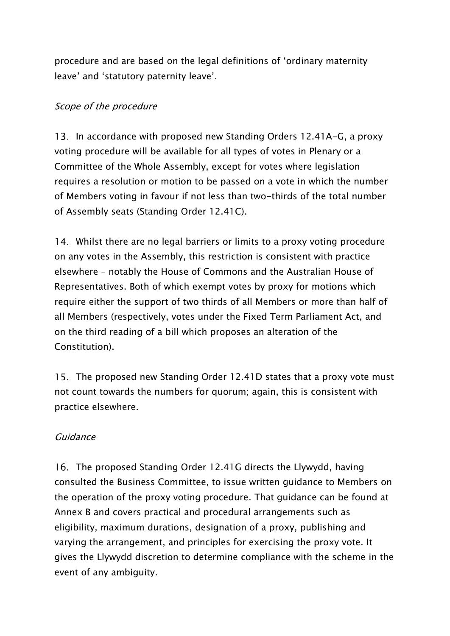procedure and are based on the legal definitions of 'ordinary maternity leave' and 'statutory paternity leave'.

## Scope of the procedure

13. In accordance with proposed new Standing Orders 12.41A-G, a proxy voting procedure will be available for all types of votes in Plenary or a Committee of the Whole Assembly, except for votes where legislation requires a resolution or motion to be passed on a vote in which the number of Members voting in favour if not less than two-thirds of the total number of Assembly seats (Standing Order 12.41C).

14. Whilst there are no legal barriers or limits to a proxy voting procedure on any votes in the Assembly, this restriction is consistent with practice elsewhere – notably the House of Commons and the Australian House of Representatives. Both of which exempt votes by proxy for motions which require either the support of two thirds of all Members or more than half of all Members (respectively, votes under the Fixed Term Parliament Act, and on the third reading of a bill which proposes an alteration of the Constitution).

15. The proposed new Standing Order 12.41D states that a proxy vote must not count towards the numbers for quorum; again, this is consistent with practice elsewhere.

## Guidance

16. The proposed Standing Order 12.41G directs the Llywydd, having consulted the Business Committee, to issue written guidance to Members on the operation of the proxy voting procedure. That guidance can be found at Annex B and covers practical and procedural arrangements such as eligibility, maximum durations, designation of a proxy, publishing and varying the arrangement, and principles for exercising the proxy vote. It gives the Llywydd discretion to determine compliance with the scheme in the event of any ambiguity.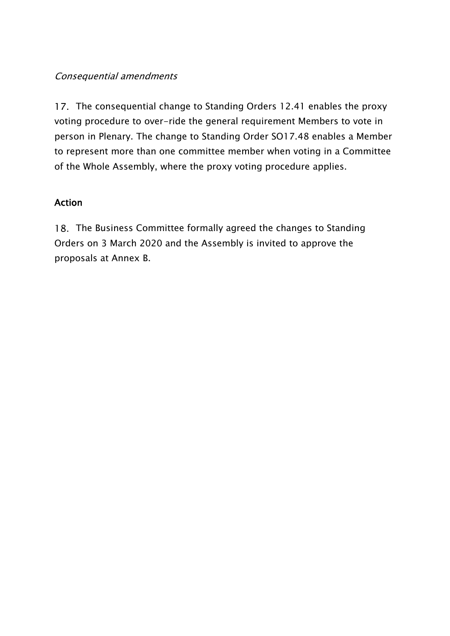## Consequential amendments

17. The consequential change to Standing Orders 12.41 enables the proxy voting procedure to over-ride the general requirement Members to vote in person in Plenary. The change to Standing Order SO17.48 enables a Member to represent more than one committee member when voting in a Committee of the Whole Assembly, where the proxy voting procedure applies.

## Action

18. The Business Committee formally agreed the changes to Standing Orders on 3 March 2020 and the Assembly is invited to approve the proposals at Annex B.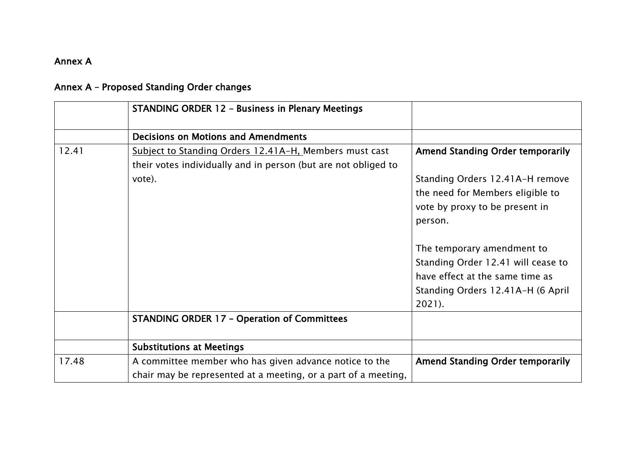## Annex A

|  | <b>STANDING ORDER 12 - Business in Plenary Meetings</b> |  |
|--|---------------------------------------------------------|--|
|  | <b>Decisions on Motions and Amendments</b>              |  |
|  | Cubingt to Ctanding Orders 12 41A II Mombors music      |  |

# Annex A – Proposed Standing Order changes

|       | <b>Decisions on Motions and Amendments</b>                                                                               |                                                                                                                                                       |
|-------|--------------------------------------------------------------------------------------------------------------------------|-------------------------------------------------------------------------------------------------------------------------------------------------------|
| 12.41 | Subject to Standing Orders 12.41A-H, Members must cast<br>their votes individually and in person (but are not obliged to | <b>Amend Standing Order temporarily</b>                                                                                                               |
|       | vote).                                                                                                                   | Standing Orders 12.41A-H remove<br>the need for Members eligible to<br>vote by proxy to be present in<br>person.                                      |
|       |                                                                                                                          | The temporary amendment to<br>Standing Order 12.41 will cease to<br>have effect at the same time as<br>Standing Orders 12.41A-H (6 April<br>$2021$ ). |
|       | <b>STANDING ORDER 17 - Operation of Committees</b>                                                                       |                                                                                                                                                       |
|       | <b>Substitutions at Meetings</b>                                                                                         |                                                                                                                                                       |
| 17.48 | A committee member who has given advance notice to the<br>chair may be represented at a meeting, or a part of a meeting, | <b>Amend Standing Order temporarily</b>                                                                                                               |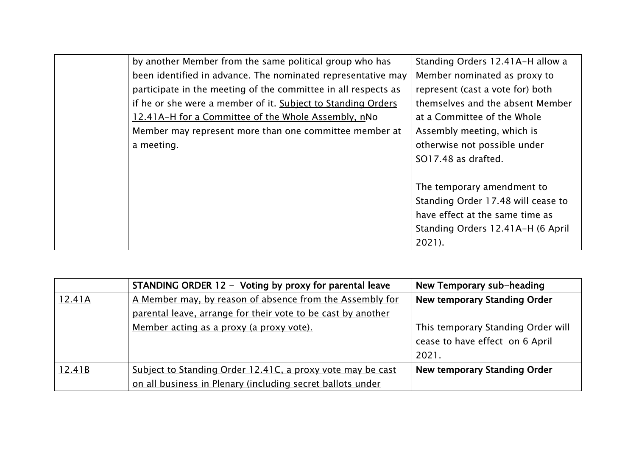| by another Member from the same political group who has        | Standing Orders 12.41A-H allow a   |
|----------------------------------------------------------------|------------------------------------|
| been identified in advance. The nominated representative may   | Member nominated as proxy to       |
| participate in the meeting of the committee in all respects as | represent (cast a vote for) both   |
| if he or she were a member of it. Subject to Standing Orders   | themselves and the absent Member   |
| 12.41A-H for a Committee of the Whole Assembly, nNo            | at a Committee of the Whole        |
| Member may represent more than one committee member at         | Assembly meeting, which is         |
| a meeting.                                                     | otherwise not possible under       |
|                                                                | SO17.48 as drafted.                |
|                                                                |                                    |
|                                                                | The temporary amendment to         |
|                                                                | Standing Order 17.48 will cease to |
|                                                                | have effect at the same time as    |
|                                                                | Standing Orders 12.41A-H (6 April  |
|                                                                | $2021$ ).                          |
|                                                                |                                    |

|        | STANDING ORDER 12 - Voting by proxy for parental leave       | New Temporary sub-heading          |
|--------|--------------------------------------------------------------|------------------------------------|
| 12.41A | A Member may, by reason of absence from the Assembly for     | New temporary Standing Order       |
|        | parental leave, arrange for their vote to be cast by another |                                    |
|        | Member acting as a proxy (a proxy vote).                     | This temporary Standing Order will |
|        |                                                              | cease to have effect on 6 April    |
|        |                                                              | 2021.                              |
| 12.41B | Subject to Standing Order 12.41C, a proxy vote may be cast   | New temporary Standing Order       |
|        | on all business in Plenary (including secret ballots under   |                                    |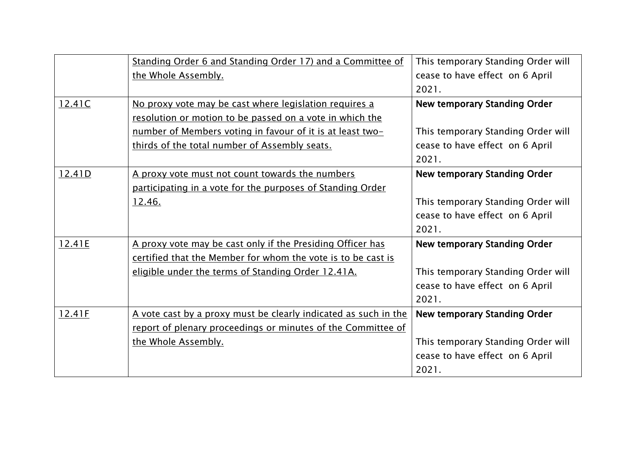|        | Standing Order 6 and Standing Order 17) and a Committee of       | This temporary Standing Order will  |
|--------|------------------------------------------------------------------|-------------------------------------|
|        | the Whole Assembly.                                              | cease to have effect on 6 April     |
|        |                                                                  | 2021.                               |
| 12.41C | No proxy vote may be cast where legislation requires a           | <b>New temporary Standing Order</b> |
|        | resolution or motion to be passed on a vote in which the         |                                     |
|        | <u>number of Members voting in favour of it is at least two-</u> | This temporary Standing Order will  |
|        | thirds of the total number of Assembly seats.                    | cease to have effect on 6 April     |
|        |                                                                  | 2021.                               |
| 12.41D | A proxy vote must not count towards the numbers                  | <b>New temporary Standing Order</b> |
|        | participating in a vote for the purposes of Standing Order       |                                     |
|        | 12.46.                                                           | This temporary Standing Order will  |
|        |                                                                  | cease to have effect on 6 April     |
|        |                                                                  | 2021.                               |
| 12.41E | A proxy vote may be cast only if the Presiding Officer has       | <b>New temporary Standing Order</b> |
|        | certified that the Member for whom the vote is to be cast is     |                                     |
|        | eligible under the terms of Standing Order 12.41A.               | This temporary Standing Order will  |
|        |                                                                  | cease to have effect on 6 April     |
|        |                                                                  | 2021.                               |
| 12.41F | A vote cast by a proxy must be clearly indicated as such in the  | New temporary Standing Order        |
|        | report of plenary proceedings or minutes of the Committee of     |                                     |
|        | the Whole Assembly.                                              | This temporary Standing Order will  |
|        |                                                                  | cease to have effect on 6 April     |
|        |                                                                  | 2021.                               |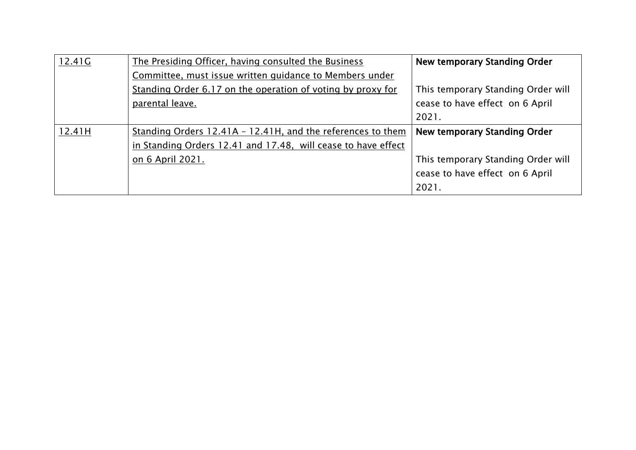| 12.41G | The Presiding Officer, having consulted the Business          | New temporary Standing Order       |
|--------|---------------------------------------------------------------|------------------------------------|
|        | Committee, must issue written quidance to Members under       |                                    |
|        | Standing Order 6.17 on the operation of voting by proxy for   | This temporary Standing Order will |
|        | parental leave.                                               | cease to have effect on 6 April    |
|        |                                                               | 2021.                              |
| 12.41H | Standing Orders 12.41A - 12.41H, and the references to them   | New temporary Standing Order       |
|        |                                                               |                                    |
|        | in Standing Orders 12.41 and 17.48, will cease to have effect |                                    |
|        | on 6 April 2021.                                              | This temporary Standing Order will |
|        |                                                               | cease to have effect on 6 April    |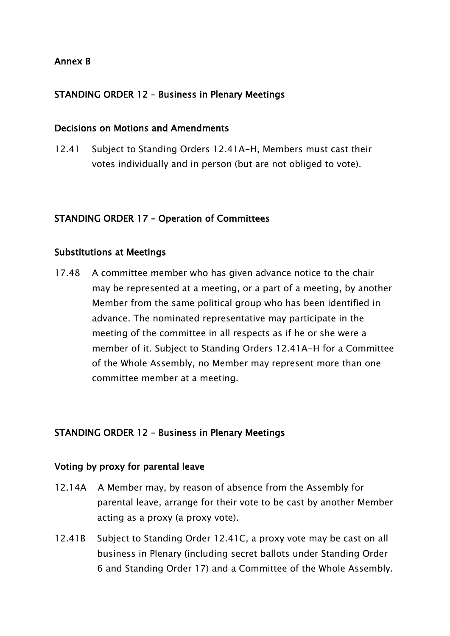### Annex B

## STANDING ORDER 12 – Business in Plenary Meetings

#### Decisions on Motions and Amendments

12.41 Subject to Standing Orders 12.41A-H, Members must cast their votes individually and in person (but are not obliged to vote).

#### STANDING ORDER 17 – Operation of Committees

#### Substitutions at Meetings

17.48 A committee member who has given advance notice to the chair may be represented at a meeting, or a part of a meeting, by another Member from the same political group who has been identified in advance. The nominated representative may participate in the meeting of the committee in all respects as if he or she were a member of it. Subject to Standing Orders 12.41A-H for a Committee of the Whole Assembly, no Member may represent more than one committee member at a meeting.

#### STANDING ORDER 12 – Business in Plenary Meetings

#### Voting by proxy for parental leave

- 12.14A A Member may, by reason of absence from the Assembly for parental leave, arrange for their vote to be cast by another Member acting as a proxy (a proxy vote).
- 12.41B Subject to Standing Order 12.41C, a proxy vote may be cast on all business in Plenary (including secret ballots under Standing Order 6 and Standing Order 17) and a Committee of the Whole Assembly.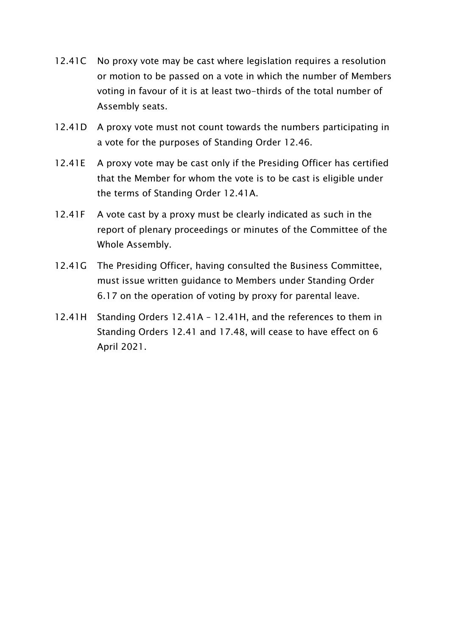- 12.41C No proxy vote may be cast where legislation requires a resolution or motion to be passed on a vote in which the number of Members voting in favour of it is at least two-thirds of the total number of Assembly seats.
- 12.41D A proxy vote must not count towards the numbers participating in a vote for the purposes of Standing Order 12.46.
- 12.41E A proxy vote may be cast only if the Presiding Officer has certified that the Member for whom the vote is to be cast is eligible under the terms of Standing Order 12.41A.
- 12.41F A vote cast by a proxy must be clearly indicated as such in the report of plenary proceedings or minutes of the Committee of the Whole Assembly.
- 12.41G The Presiding Officer, having consulted the Business Committee, must issue written guidance to Members under Standing Order 6.17 on the operation of voting by proxy for parental leave.
- 12.41H Standing Orders 12.41A 12.41H, and the references to them in Standing Orders 12.41 and 17.48, will cease to have effect on 6 April 2021.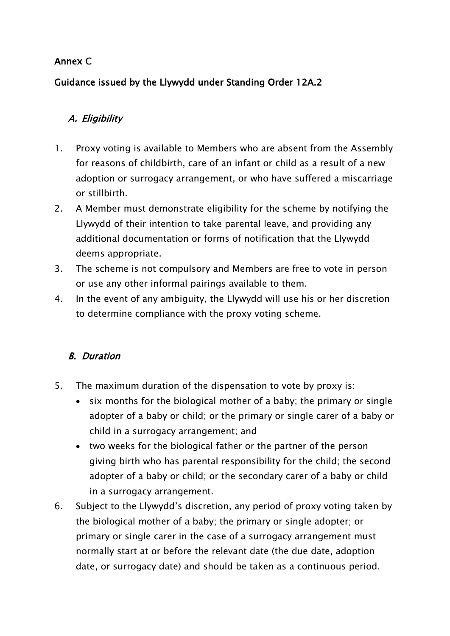# Annex C

# Guidance issued by the Llywydd under Standing Order 12A.2

# A. Eligibility

- 1. Proxy voting is available to Members who are absent from the Assembly for reasons of childbirth, care of an infant or child as a result of a new adoption or surrogacy arrangement, or who have suffered a miscarriage or stillbirth.
- 2. A Member must demonstrate eligibility for the scheme by notifying the Llywydd of their intention to take parental leave, and providing any additional documentation or forms of notification that the Llywydd deems appropriate.
- 3. The scheme is not compulsory and Members are free to vote in person or use any other informal pairings available to them.
- 4. In the event of any ambiguity, the Llywydd will use his or her discretion to determine compliance with the proxy voting scheme.

# B. Duration

- 5. The maximum duration of the dispensation to vote by proxy is:
	- six months for the biological mother of a baby; the primary or single adopter of a baby or child; or the primary or single carer of a baby or child in a surrogacy arrangement; and
	- two weeks for the biological father or the partner of the person giving birth who has parental responsibility for the child; the second adopter of a baby or child; or the secondary carer of a baby or child in a surrogacy arrangement.
- 6. Subject to the Llywydd's discretion, any period of proxy voting taken by the biological mother of a baby; the primary or single adopter; or primary or single carer in the case of a surrogacy arrangement must normally start at or before the relevant date (the due date, adoption date, or surrogacy date) and should be taken as a continuous period.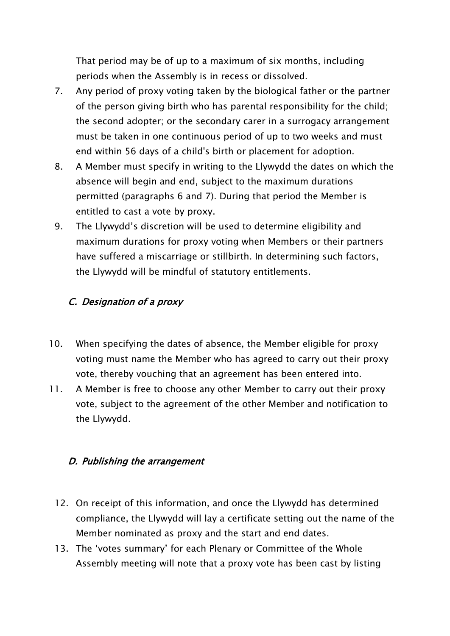That period may be of up to a maximum of six months, including periods when the Assembly is in recess or dissolved.

- 7. Any period of proxy voting taken by the biological father or the partner of the person giving birth who has parental responsibility for the child; the second adopter; or the secondary carer in a surrogacy arrangement must be taken in one continuous period of up to two weeks and must end within 56 days of a child's birth or placement for adoption.
- 8. A Member must specify in writing to the Llywydd the dates on which the absence will begin and end, subject to the maximum durations permitted (paragraphs 6 and 7). During that period the Member is entitled to cast a vote by proxy.
- 9. The Llywydd's discretion will be used to determine eligibility and maximum durations for proxy voting when Members or their partners have suffered a miscarriage or stillbirth. In determining such factors, the Llywydd will be mindful of statutory entitlements.

# C. Designation of a proxy

- 10. When specifying the dates of absence, the Member eligible for proxy voting must name the Member who has agreed to carry out their proxy vote, thereby vouching that an agreement has been entered into.
- 11. A Member is free to choose any other Member to carry out their proxy vote, subject to the agreement of the other Member and notification to the Llywydd.

## D. Publishing the arrangement

- 12. On receipt of this information, and once the Llywydd has determined compliance, the Llywydd will lay a certificate setting out the name of the Member nominated as proxy and the start and end dates.
- 13. The 'votes summary' for each Plenary or Committee of the Whole Assembly meeting will note that a proxy vote has been cast by listing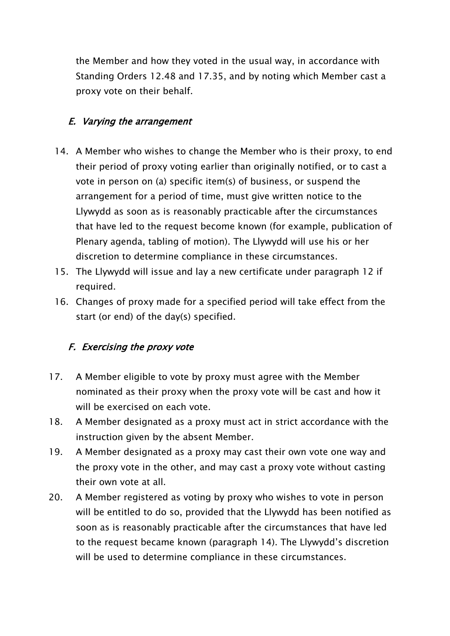the Member and how they voted in the usual way, in accordance with Standing Orders 12.48 and 17.35, and by noting which Member cast a proxy vote on their behalf.

# E. Varying the arrangement

- 14. A Member who wishes to change the Member who is their proxy, to end their period of proxy voting earlier than originally notified, or to cast a vote in person on (a) specific item(s) of business, or suspend the arrangement for a period of time, must give written notice to the Llywydd as soon as is reasonably practicable after the circumstances that have led to the request become known (for example, publication of Plenary agenda, tabling of motion). The Llywydd will use his or her discretion to determine compliance in these circumstances.
- 15. The Llywydd will issue and lay a new certificate under paragraph 12 if required.
- 16. Changes of proxy made for a specified period will take effect from the start (or end) of the day(s) specified.

## F. Exercising the proxy vote

- 17. A Member eligible to vote by proxy must agree with the Member nominated as their proxy when the proxy vote will be cast and how it will be exercised on each vote.
- 18. A Member designated as a proxy must act in strict accordance with the instruction given by the absent Member.
- 19. A Member designated as a proxy may cast their own vote one way and the proxy vote in the other, and may cast a proxy vote without casting their own vote at all.
- 20. A Member registered as voting by proxy who wishes to vote in person will be entitled to do so, provided that the Llywydd has been notified as soon as is reasonably practicable after the circumstances that have led to the request became known (paragraph 14). The Llywydd's discretion will be used to determine compliance in these circumstances.